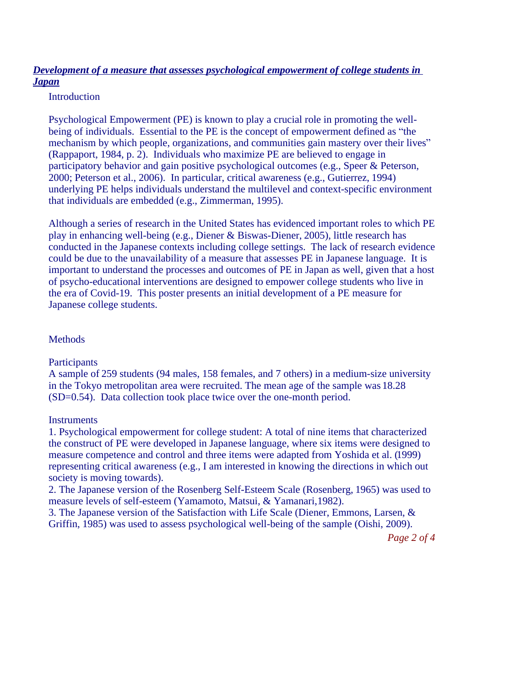# *Development of a measure that assesses psychological empowerment of college students in Japan*

#### Introduction

Psychological Empowerment (PE) is known to play a crucial role in promoting the wellbeing of individuals. Essential to the PE is the concept of empowerment defined as "the mechanism by which people, organizations, and communities gain mastery over their lives" (Rappaport, 1984, p. 2). Individuals who maximize PE are believed to engage in participatory behavior and gain positive psychological outcomes (e.g., Speer & Peterson, 2000; Peterson et al., 2006). In particular, critical awareness (e.g., Gutierrez, 1994) underlying PE helps individuals understand the multilevel and context-specific environment that individuals are embedded (e.g., Zimmerman, 1995).

Although a series of research in the United States has evidenced important roles to which PE play in enhancing well-being (e.g., Diener & Biswas-Diener, 2005), little research has conducted in the Japanese contexts including college settings. The lack of research evidence could be due to the unavailability of a measure that assesses PE in Japanese language. It is important to understand the processes and outcomes of PE in Japan as well, given that a host of psycho-educational interventions are designed to empower college students who live in the era of Covid-19. This poster presents an initial development of a PE measure for Japanese college students.

### **Methods**

### **Participants**

A sample of 259 students (94 males, 158 females, and 7 others) in a medium-size university in the Tokyo metropolitan area were recruited. The mean age of the sample was 18.28 (SD=0.54). Data collection took place twice over the one-month period.

### **Instruments**

1. Psychological empowerment for college student: A total of nine items that characterized the construct of PE were developed in Japanese language, where six items were designed to measure competence and control and three items were adapted from Yoshida et al. (1999) representing critical awareness (e.g., I am interested in knowing the directions in which out society is moving towards).

2. The Japanese version of the Rosenberg Self-Esteem Scale (Rosenberg, 1965) was used to measure levels of self-esteem (Yamamoto, Matsui, & Yamanari, 1982).

3. The Japanese version of the Satisfaction with Life Scale (Diener, Emmons, Larsen, & Griffin, 1985) was used to assess psychological well-being of the sample (Oishi, 2009).

*Page 2 of 4*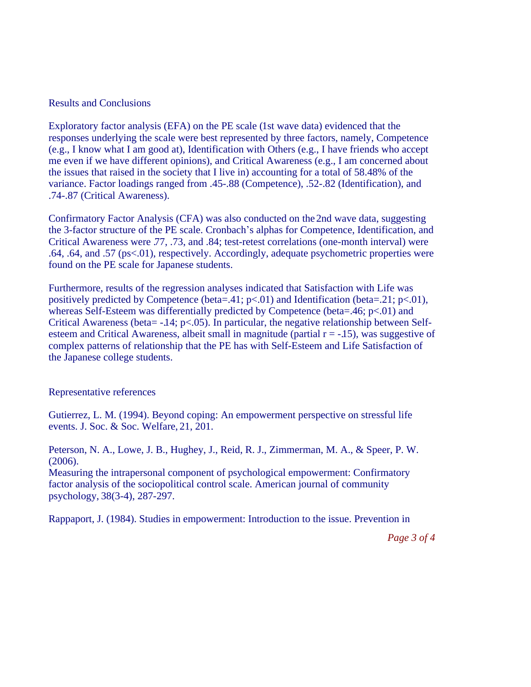#### Results and Conclusions

Exploratory factor analysis (EFA) on the PE scale (1st wave data) evidenced that the responses underlying the scale were best represented by three factors, namely, Competence (e.g., I know what I am good at), Identification with Others (e.g., I have friends who accept me even if we have different opinions), and Critical Awareness (e.g., I am concerned about the issues that raised in the society that I live in) accounting for a total of 58.48% of the variance. Factor loadings ranged from .45-.88 (Competence), .52-.82 (Identification), and .74-.87 (Critical Awareness).

Confirmatory Factor Analysis (CFA) was also conducted on the 2nd wave data, suggesting the 3-factor structure of the PE scale. Cronbach's alphas for Competence, Identification, and Critical Awareness were .77, .73, and .84; test-retest correlations (one-month interval) were .64, .64, and .57 (ps<.01), respectively. Accordingly, adequate psychometric properties were found on the PE scale for Japanese students.

Furthermore, results of the regression analyses indicated that Satisfaction with Life was positively predicted by Competence (beta=.41;  $p<0.01$ ) and Identification (beta=.21;  $p<0.01$ ), whereas Self-Esteem was differentially predicted by Competence (beta=.46; p<.01) and Critical Awareness (beta=  $-14$ ; p<.05). In particular, the negative relationship between Selfesteem and Critical Awareness, albeit small in magnitude (partial  $r = -15$ ), was suggestive of complex patterns of relationship that the PE has with Self-Esteem and Life Satisfaction of the Japanese college students.

#### Representative references

Gutierrez, L. M. (1994). Beyond coping: An empowerment perspective on stressful life events. J. Soc. & Soc. Welfare, 21, 201.

Peterson, N. A., Lowe, J. B., Hughey, J., Reid, R. J., Zimmerman, M. A., & Speer, P. W. (2006).

Measuring the intrapersonal component of psychological empowerment: Confirmatory factor analysis of the sociopolitical control scale. American journal of community psychology, 38(3-4), 287-297.

Rappaport, J. (1984). Studies in empowerment: Introduction to the issue. Prevention in

*Page 3 of 4*